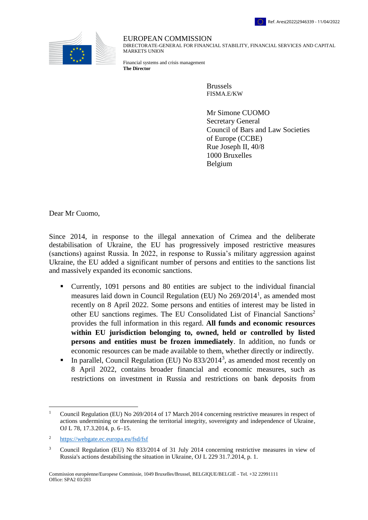



EUROPEAN COMMISSION

DIRECTORATE-GENERAL FOR FINANCIAL STABILITY, FINANCIAL SERVICES AND CAPITAL MARKETS UNION

Financial systems and crisis management **The Director**

> Brussels FISMA.E/KW

Mr Simone CUOMO Secretary General Council of Bars and Law Societies of Europe (CCBE) Rue Joseph II, 40/8 1000 Bruxelles Belgium

Dear Mr Cuomo,

Since 2014, in response to the illegal annexation of Crimea and the deliberate destabilisation of Ukraine, the EU has progressively imposed restrictive measures (sanctions) against Russia. In 2022, in response to Russia's military aggression against Ukraine, the EU added a significant number of persons and entities to the sanctions list and massively expanded its economic sanctions.

- Currently, 1091 persons and 80 entities are subject to the individual financial measures laid down in Council Regulation (EU) No 269/2014<sup>1</sup>, as amended most recently on 8 April 2022. Some persons and entities of interest may be listed in other EU sanctions regimes. The EU Consolidated List of Financial Sanctions<sup>2</sup> provides the full information in this regard. **All funds and economic resources within EU jurisdiction belonging to, owned, held or controlled by listed persons and entities must be frozen immediately**. In addition, no funds or economic resources can be made available to them, whether directly or indirectly.
- In parallel, Council Regulation (EU) No  $833/2014^3$ , as amended most recently on 8 April 2022, contains broader financial and economic measures, such as restrictions on investment in Russia and restrictions on bank deposits from

 $\overline{a}$ 

<sup>1</sup> Council Regulation (EU) No 269/2014 of 17 March 2014 concerning restrictive measures in respect of actions undermining or threatening the territorial integrity, sovereignty and independence of Ukraine, OJ L 78, 17.3.2014, p. 6–15.

<sup>2</sup> <https://webgate.ec.europa.eu/fsd/fsf>

<sup>&</sup>lt;sup>3</sup> Council Regulation (EU) No 833/2014 of 31 July 2014 concerning restrictive measures in view of Russia's actions destabilising the situation in Ukraine, OJ L 229 31.7.2014, p. 1.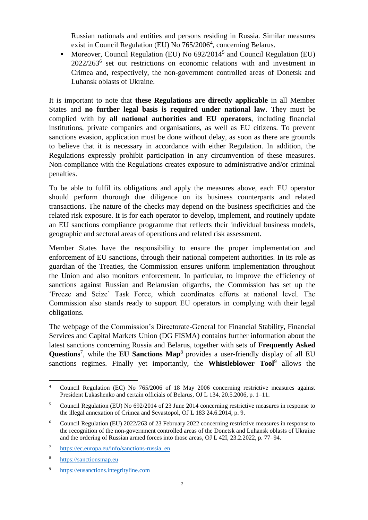Russian nationals and entities and persons residing in Russia. Similar measures exist in Council Regulation (EU) No 765/2006<sup>4</sup>, concerning Belarus.

• Moreover, Council Regulation (EU) No  $692/2014^5$  and Council Regulation (EU) 2022/263<sup>6</sup> set out restrictions on economic relations with and investment in Crimea and, respectively, the non-government controlled areas of Donetsk and Luhansk oblasts of Ukraine.

It is important to note that **these Regulations are directly applicable** in all Member States and **no further legal basis is required under national law**. They must be complied with by **all national authorities and EU operators**, including financial institutions, private companies and organisations, as well as EU citizens. To prevent sanctions evasion, application must be done without delay, as soon as there are grounds to believe that it is necessary in accordance with either Regulation. In addition, the Regulations expressly prohibit participation in any circumvention of these measures. Non-compliance with the Regulations creates exposure to administrative and/or criminal penalties.

To be able to fulfil its obligations and apply the measures above, each EU operator should perform thorough due diligence on its business counterparts and related transactions. The nature of the checks may depend on the business specificities and the related risk exposure. It is for each operator to develop, implement, and routinely update an EU sanctions compliance programme that reflects their individual business models, geographic and sectoral areas of operations and related risk assessment.

Member States have the responsibility to ensure the proper implementation and enforcement of EU sanctions, through their national competent authorities. In its role as guardian of the Treaties, the Commission ensures uniform implementation throughout the Union and also monitors enforcement. In particular, to improve the efficiency of sanctions against Russian and Belarusian oligarchs, the Commission has set up the 'Freeze and Seize' Task Force, which coordinates efforts at national level. The Commission also stands ready to support EU operators in complying with their legal obligations.

The webpage of the Commission's Directorate-General for Financial Stability, Financial Services and Capital Markets Union (DG FISMA) contains further information about the latest sanctions concerning Russia and Belarus, together with sets of **Frequently Asked Questions**<sup>7</sup> , while the **EU Sanctions Map**<sup>8</sup> provides a user-friendly display of all EU sanctions regimes. Finally yet importantly, the **Whistleblower Tool**<sup>9</sup> allows the

 $\overline{a}$ 

<sup>4</sup> Council Regulation (EC) No 765/2006 of 18 May 2006 concerning restrictive measures against President Lukashenko and certain officials of Belarus, OJ L 134, 20.5.2006, p. 1–11.

<sup>5</sup> Council Regulation (EU) No 692/2014 of 23 June 2014 concerning restrictive measures in response to the illegal annexation of Crimea and Sevastopol, OJ L 183 24.6.2014, p. 9.

<sup>6</sup> Council Regulation (EU) 2022/263 of 23 February 2022 concerning restrictive measures in response to the recognition of the non-government controlled areas of the Donetsk and Luhansk oblasts of Ukraine and the ordering of Russian armed forces into those areas, OJ L 42I, 23.2.2022, p. 77–94.

<sup>7</sup> [https://ec.europa.eu/info/sanctions-russia\\_en](https://ec.europa.eu/info/sanctions-russia_en)

<sup>8</sup> [https://sanctionsmap.eu](https://sanctionsmap.eu/)

<sup>9</sup> [https://eusanctions.integrityline.com](https://eusanctions.integrityline.com/)